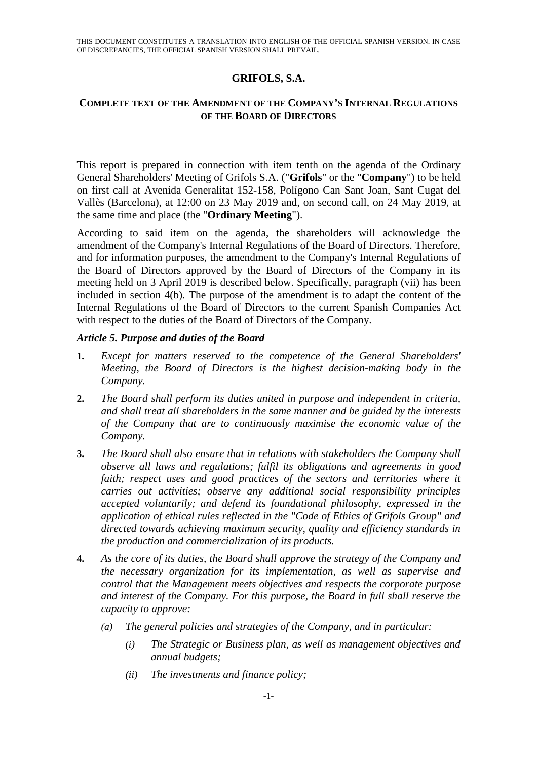## **GRIFOLS, S.A.**

## **COMPLETE TEXT OF THE AMENDMENT OF THE COMPANY'S INTERNAL REGULATIONS OF THE BOARD OF DIRECTORS**

This report is prepared in connection with item tenth on the agenda of the Ordinary General Shareholders' Meeting of Grifols S.A. ("**Grifols**" or the "**Company**") to be held on first call at Avenida Generalitat 152-158, Polígono Can Sant Joan, Sant Cugat del Vallès (Barcelona), at 12:00 on 23 May 2019 and, on second call, on 24 May 2019, at the same time and place (the "**Ordinary Meeting**").

According to said item on the agenda, the shareholders will acknowledge the amendment of the Company's Internal Regulations of the Board of Directors. Therefore, and for information purposes, the amendment to the Company's Internal Regulations of the Board of Directors approved by the Board of Directors of the Company in its meeting held on 3 April 2019 is described below. Specifically, paragraph (vii) has been included in section 4(b). The purpose of the amendment is to adapt the content of the Internal Regulations of the Board of Directors to the current Spanish Companies Act with respect to the duties of the Board of Directors of the Company.

## *Article 5. Purpose and duties of the Board*

- **1.** *Except for matters reserved to the competence of the General Shareholders' Meeting, the Board of Directors is the highest decision-making body in the Company.*
- **2.** *The Board shall perform its duties united in purpose and independent in criteria, and shall treat all shareholders in the same manner and be guided by the interests of the Company that are to continuously maximise the economic value of the Company.*
- **3.** *The Board shall also ensure that in relations with stakeholders the Company shall observe all laws and regulations; fulfil its obligations and agreements in good*  faith; respect uses and good practices of the sectors and territories where it *carries out activities; observe any additional social responsibility principles accepted voluntarily; and defend its foundational philosophy, expressed in the application of ethical rules reflected in the "Code of Ethics of Grifols Group" and directed towards achieving maximum security, quality and efficiency standards in the production and commercialization of its products.*
- **4.** *As the core of its duties, the Board shall approve the strategy of the Company and the necessary organization for its implementation, as well as supervise and control that the Management meets objectives and respects the corporate purpose and interest of the Company. For this purpose, the Board in full shall reserve the capacity to approve:* 
	- *(a) The general policies and strategies of the Company, and in particular:* 
		- *(i) The Strategic or Business plan, as well as management objectives and annual budgets;*
		- *(ii) The investments and finance policy;*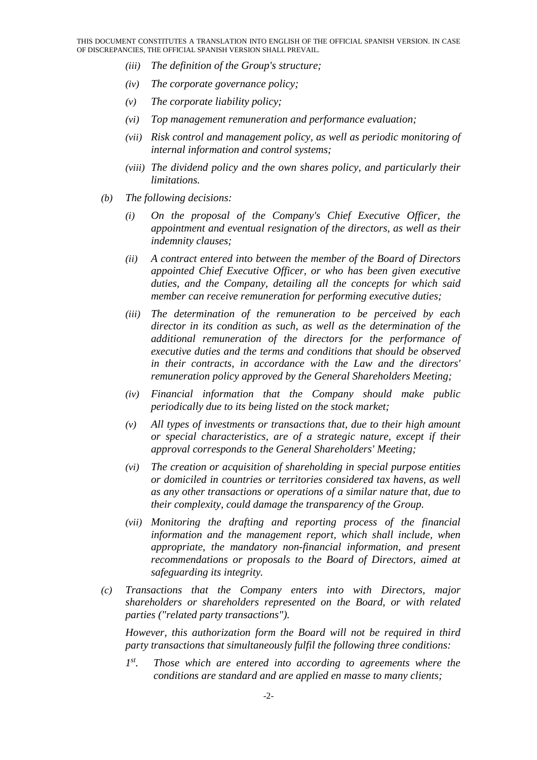- *(iii) The definition of the Group's structure;*
- *(iv) The corporate governance policy;*
- *(v) The corporate liability policy;*
- *(vi) Top management remuneration and performance evaluation;*
- *(vii) Risk control and management policy, as well as periodic monitoring of internal information and control systems;*
- *(viii) The dividend policy and the own shares policy, and particularly their limitations.*
- *(b) The following decisions:* 
	- *(i) On the proposal of the Company's Chief Executive Officer, the appointment and eventual resignation of the directors, as well as their indemnity clauses;*
	- *(ii) A contract entered into between the member of the Board of Directors appointed Chief Executive Officer, or who has been given executive duties, and the Company, detailing all the concepts for which said member can receive remuneration for performing executive duties;*
	- *(iii) The determination of the remuneration to be perceived by each director in its condition as such, as well as the determination of the additional remuneration of the directors for the performance of executive duties and the terms and conditions that should be observed in their contracts, in accordance with the Law and the directors' remuneration policy approved by the General Shareholders Meeting;*
	- *(iv) Financial information that the Company should make public periodically due to its being listed on the stock market;*
	- *(v) All types of investments or transactions that, due to their high amount or special characteristics, are of a strategic nature, except if their approval corresponds to the General Shareholders' Meeting;*
	- *(vi) The creation or acquisition of shareholding in special purpose entities or domiciled in countries or territories considered tax havens, as well as any other transactions or operations of a similar nature that, due to their complexity, could damage the transparency of the Group.*
	- *(vii) Monitoring the drafting and reporting process of the financial information and the management report, which shall include, when appropriate, the mandatory non-financial information, and present recommendations or proposals to the Board of Directors, aimed at safeguarding its integrity.*
- *(c) Transactions that the Company enters into with Directors, major shareholders or shareholders represented on the Board, or with related parties ("related party transactions").*

*However, this authorization form the Board will not be required in third party transactions that simultaneously fulfil the following three conditions:* 

*1st. Those which are entered into according to agreements where the conditions are standard and are applied en masse to many clients;*